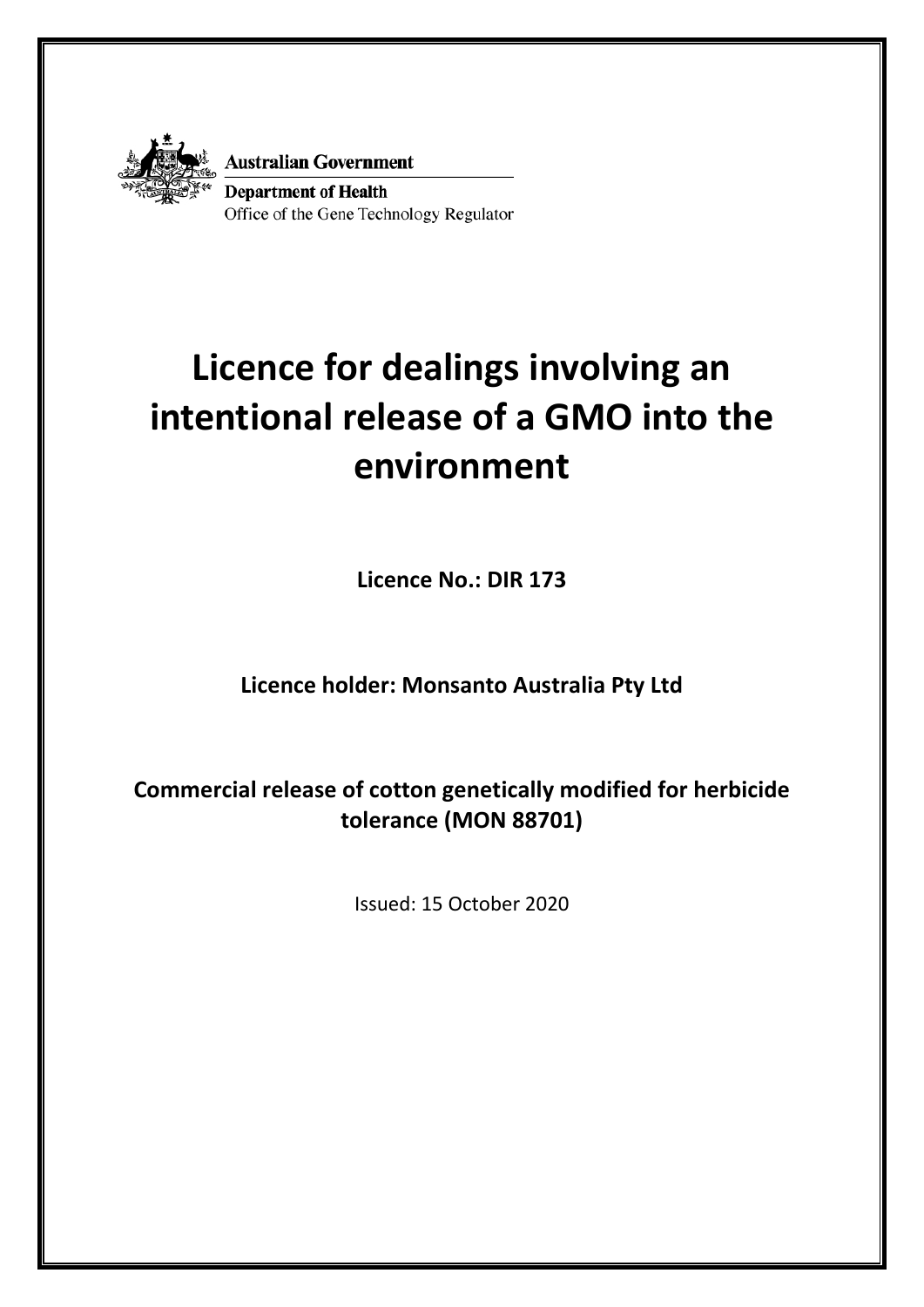

**Australian Government** 

**Department of Health** Office of the Gene Technology Regulator

# **Licence for dealings involving an intentional release of a GMO into the environment**

**Licence No.: DIR 173**

# **Licence holder: Monsanto Australia Pty Ltd**

**Commercial release of cotton genetically modified for herbicide tolerance (MON 88701)**

Issued: 15 October 2020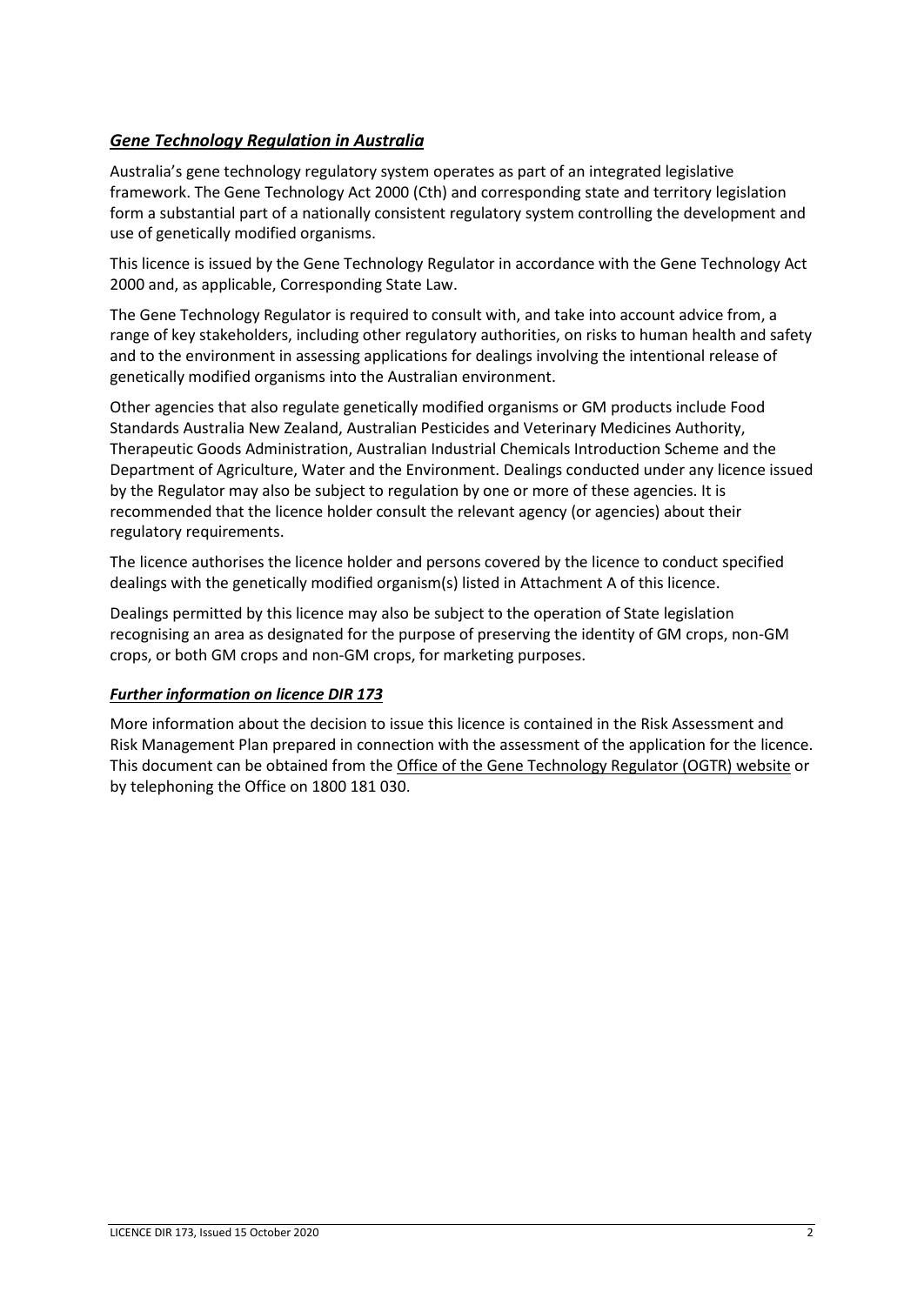## *Gene Technology Regulation in Australia*

Australia's gene technology regulatory system operates as part of an integrated legislative framework. The Gene Technology Act 2000 (Cth) and corresponding state and territory legislation form a substantial part of a nationally consistent regulatory system controlling the development and use of genetically modified organisms.

This licence is issued by the Gene Technology Regulator in accordance with the Gene Technology Act 2000 and, as applicable, Corresponding State Law.

The Gene Technology Regulator is required to consult with, and take into account advice from, a range of key stakeholders, including other regulatory authorities, on risks to human health and safety and to the environment in assessing applications for dealings involving the intentional release of genetically modified organisms into the Australian environment.

Other agencies that also regulate genetically modified organisms or GM products include Food Standards Australia New Zealand, Australian Pesticides and Veterinary Medicines Authority, Therapeutic Goods Administration, Australian Industrial Chemicals Introduction Scheme and the Department of Agriculture, Water and the Environment. Dealings conducted under any licence issued by the Regulator may also be subject to regulation by one or more of these agencies. It is recommended that the licence holder consult the relevant agency (or agencies) about their regulatory requirements.

The licence authorises the licence holder and persons covered by the licence to conduct specified dealings with the genetically modified organism(s) listed in Attachment A of this licence.

Dealings permitted by this licence may also be subject to the operation of State legislation recognising an area as designated for the purpose of preserving the identity of GM crops, non-GM crops, or both GM crops and non-GM crops, for marketing purposes.

## *Further information on licence DIR 173*

More information about the decision to issue this licence is contained in the Risk Assessment and Risk Management Plan prepared in connection with the assessment of the application for the licence. This document can be obtained from the [Office of the Gene Technology Regulator \(OGTR\) website](http://www.ogtr.gov.au/internet/ogtr/publishing.nsf/Content/DIR170) or by telephoning the Office on 1800 181 030.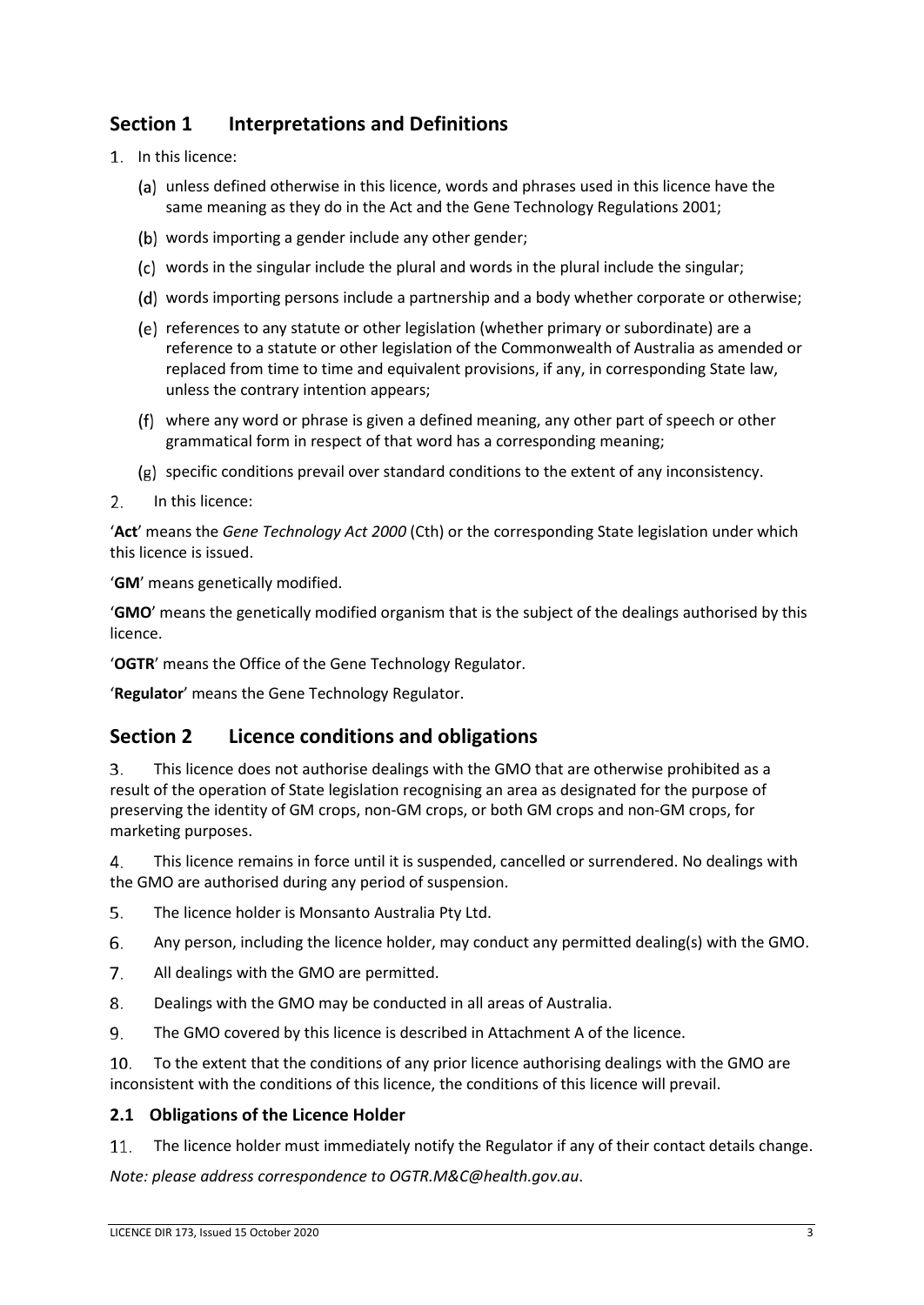# **Section 1 Interpretations and Definitions**

- In this licence:
	- unless defined otherwise in this licence, words and phrases used in this licence have the same meaning as they do in the Act and the Gene Technology Regulations 2001;
	- (b) words importing a gender include any other gender;
	- words in the singular include the plural and words in the plural include the singular;
	- words importing persons include a partnership and a body whether corporate or otherwise;
	- (e) references to any statute or other legislation (whether primary or subordinate) are a reference to a statute or other legislation of the Commonwealth of Australia as amended or replaced from time to time and equivalent provisions, if any, in corresponding State law, unless the contrary intention appears;
	- where any word or phrase is given a defined meaning, any other part of speech or other grammatical form in respect of that word has a corresponding meaning;
	- $(g)$  specific conditions prevail over standard conditions to the extent of any inconsistency.
- $2.$ In this licence:

'**Act**' means the *Gene Technology Act 2000* (Cth) or the corresponding State legislation under which this licence is issued.

'**GM**' means genetically modified.

'**GMO**' means the genetically modified organism that is the subject of the dealings authorised by this licence.

'**OGTR**' means the Office of the Gene Technology Regulator.

'**Regulator**' means the Gene Technology Regulator.

## **Section 2 Licence conditions and obligations**

3. This licence does not authorise dealings with the GMO that are otherwise prohibited as a result of the operation of State legislation recognising an area as designated for the purpose of preserving the identity of GM crops, non-GM crops, or both GM crops and non-GM crops, for marketing purposes.

This licence remains in force until it is suspended, cancelled or surrendered. No dealings with  $\mathbf{4}$ . the GMO are authorised during any period of suspension.

- 5. The licence holder is Monsanto Australia Pty Ltd.
- 6. Any person, including the licence holder, may conduct any permitted dealing(s) with the GMO.
- 7. All dealings with the GMO are permitted.
- 8. Dealings with the GMO may be conducted in all areas of Australia.
- 9. The GMO covered by this licence is described in Attachment A of the licence.

 $10.$ To the extent that the conditions of any prior licence authorising dealings with the GMO are inconsistent with the conditions of this licence, the conditions of this licence will prevail.

## **2.1 Obligations of the Licence Holder**

The licence holder must immediately notify the Regulator if any of their contact details change. 11.

*Note: please address correspondence to OGTR.M&C@health.gov.au*.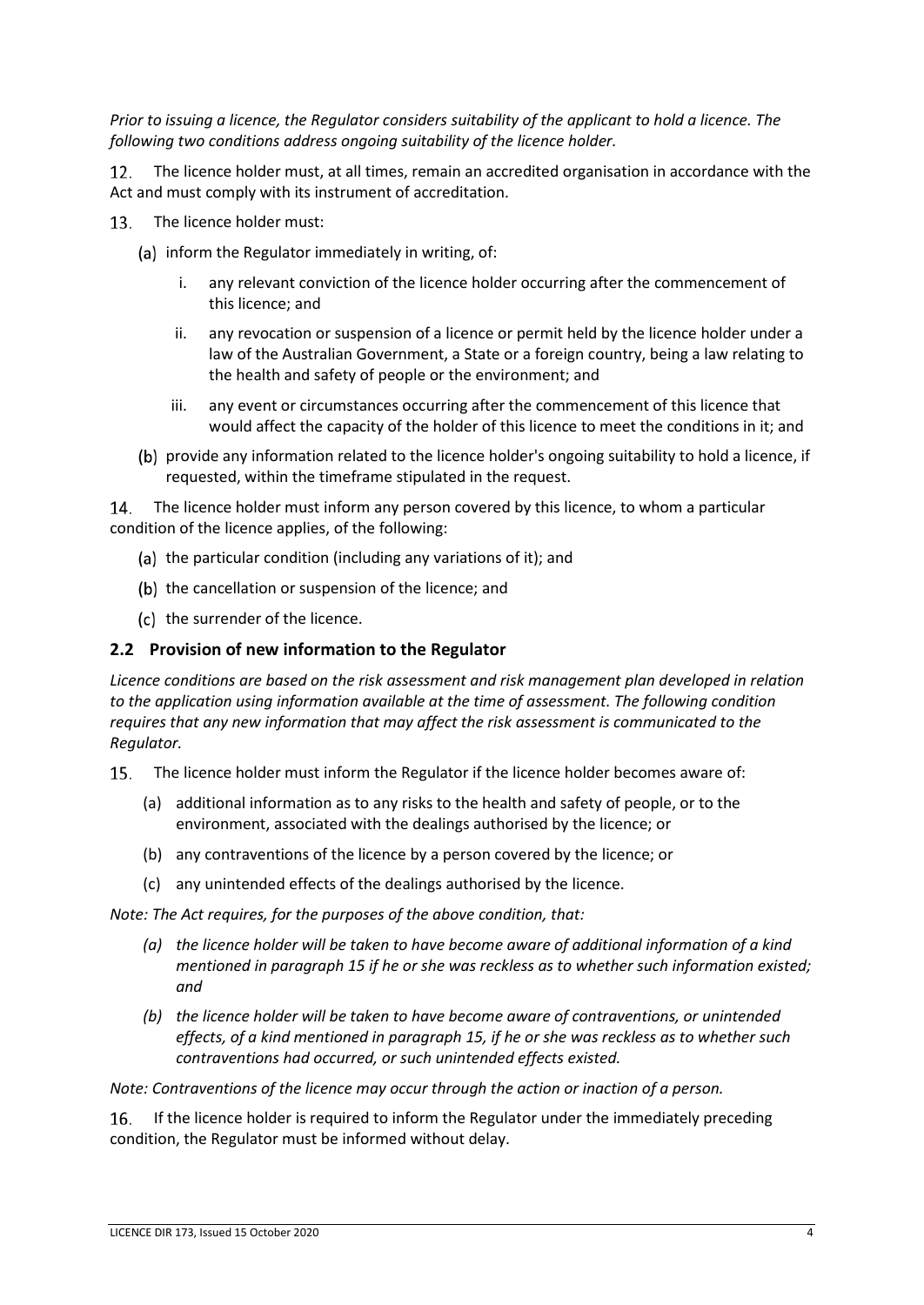*Prior to issuing a licence, the Regulator considers suitability of the applicant to hold a licence. The following two conditions address ongoing suitability of the licence holder.*

The licence holder must, at all times, remain an accredited organisation in accordance with the  $12.$ Act and must comply with its instrument of accreditation.

- 13. The licence holder must:
	- (a) inform the Regulator immediately in writing, of:
		- i. any relevant conviction of the licence holder occurring after the commencement of this licence; and
		- ii. any revocation or suspension of a licence or permit held by the licence holder under a law of the Australian Government, a State or a foreign country, being a law relating to the health and safety of people or the environment; and
		- iii. any event or circumstances occurring after the commencement of this licence that would affect the capacity of the holder of this licence to meet the conditions in it; and
	- (b) provide any information related to the licence holder's ongoing suitability to hold a licence, if requested, within the timeframe stipulated in the request.

14. The licence holder must inform any person covered by this licence, to whom a particular condition of the licence applies, of the following:

- (a) the particular condition (including any variations of it); and
- (b) the cancellation or suspension of the licence; and
- (c) the surrender of the licence.

#### **2.2 Provision of new information to the Regulator**

*Licence conditions are based on the risk assessment and risk management plan developed in relation to the application using information available at the time of assessment. The following condition requires that any new information that may affect the risk assessment is communicated to the Regulator.*

- <span id="page-3-0"></span>The licence holder must inform the Regulator if the licence holder becomes aware of:
	- (a) additional information as to any risks to the health and safety of people, or to the environment, associated with the dealings authorised by the licence; or
	- (b) any contraventions of the licence by a person covered by the licence; or
	- (c) any unintended effects of the dealings authorised by the licence.

*Note: The Act requires, for the purposes of the above condition, that:*

- *(a) the licence holder will be taken to have become aware of additional information of a kind mentioned in paragraph [15](#page-3-0) if he or she was reckless as to whether such information existed; and*
- *(b) the licence holder will be taken to have become aware of contraventions, or unintended effects, of a kind mentioned in paragraph [15,](#page-3-0) if he or she was reckless as to whether such contraventions had occurred, or such unintended effects existed.*

*Note: Contraventions of the licence may occur through the action or inaction of a person.*

16. If the licence holder is required to inform the Regulator under the immediately preceding condition, the Regulator must be informed without delay.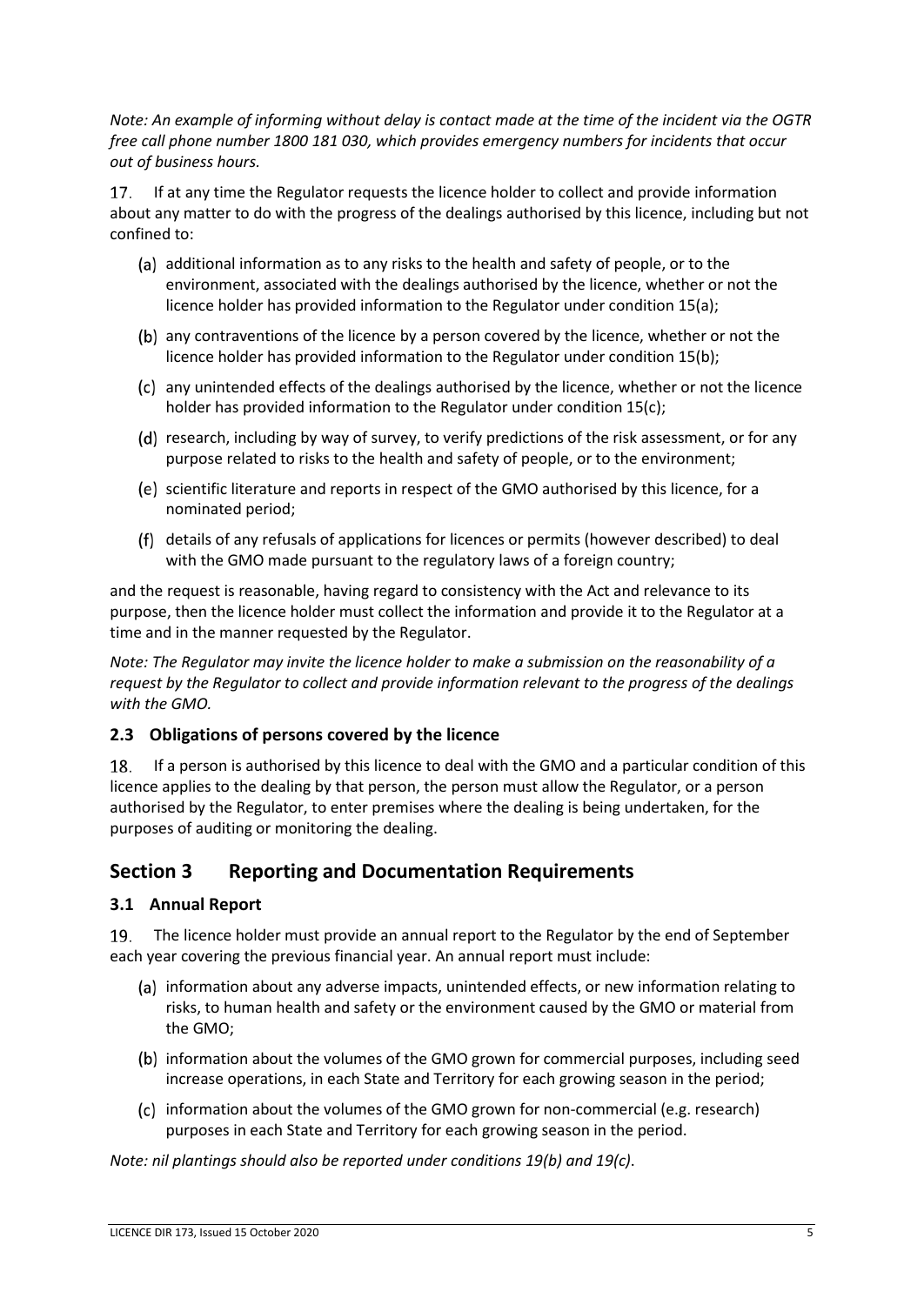*Note: An example of informing without delay is contact made at the time of the incident via the OGTR free call phone number 1800 181 030, which provides emergency numbers for incidents that occur out of business hours.*

17. If at any time the Regulator requests the licence holder to collect and provide information about any matter to do with the progress of the dealings authorised by this licence, including but not confined to:

- (a) additional information as to any risks to the health and safety of people, or to the environment, associated with the dealings authorised by the licence, whether or not the licence holder has provided information to the Regulator under conditio[n 15\(a\);](#page-3-0)
- (b) any contraventions of the licence by a person covered by the licence, whether or not the licence holder has provided information to the Regulator under conditio[n 15\(b\);](#page-3-0)
- any unintended effects of the dealings authorised by the licence, whether or not the licence holder has provided information to the Regulator under condition [15\(c\);](#page-3-0)
- (d) research, including by way of survey, to verify predictions of the risk assessment, or for any purpose related to risks to the health and safety of people, or to the environment;
- (e) scientific literature and reports in respect of the GMO authorised by this licence, for a nominated period;
- details of any refusals of applications for licences or permits (however described) to deal with the GMO made pursuant to the regulatory laws of a foreign country;

and the request is reasonable, having regard to consistency with the Act and relevance to its purpose, then the licence holder must collect the information and provide it to the Regulator at a time and in the manner requested by the Regulator.

*Note: The Regulator may invite the licence holder to make a submission on the reasonability of a request by the Regulator to collect and provide information relevant to the progress of the dealings with the GMO.*

## **2.3 Obligations of persons covered by the licence**

18. If a person is authorised by this licence to deal with the GMO and a particular condition of this licence applies to the dealing by that person, the person must allow the Regulator, or a person authorised by the Regulator, to enter premises where the dealing is being undertaken, for the purposes of auditing or monitoring the dealing.

## **Section 3 Reporting and Documentation Requirements**

## **3.1 Annual Report**

<span id="page-4-0"></span>The licence holder must provide an annual report to the Regulator by the end of September 19. each year covering the previous financial year. An annual report must include:

- (a) information about any adverse impacts, unintended effects, or new information relating to risks, to human health and safety or the environment caused by the GMO or material from the GMO;
- (b) information about the volumes of the GMO grown for commercial purposes, including seed increase operations, in each State and Territory for each growing season in the period;
- (c) information about the volumes of the GMO grown for non-commercial (e.g. research) purposes in each State and Territory for each growing season in the period.

*Note: nil plantings should also be reported under conditions [19\(b\)](#page-4-0) and [19\(c\)](#page-4-0)*.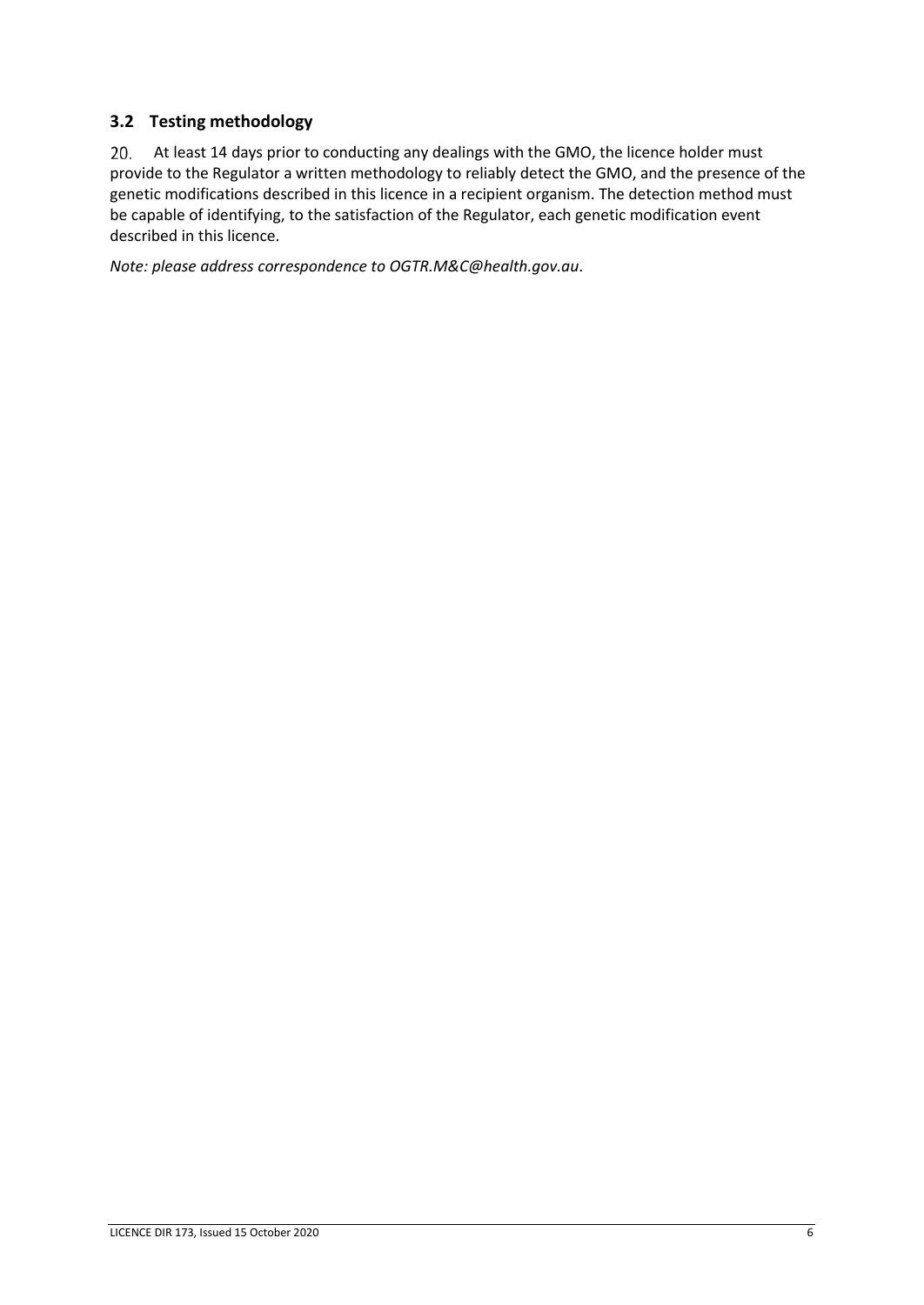## **3.2 Testing methodology**

20. At least 14 days prior to conducting any dealings with the GMO, the licence holder must provide to the Regulator a written methodology to reliably detect the GMO, and the presence of the genetic modifications described in this licence in a recipient organism. The detection method must be capable of identifying, to the satisfaction of the Regulator, each genetic modification event described in this licence.

*Note: please address correspondence to OGTR.M&C@health.gov.au*.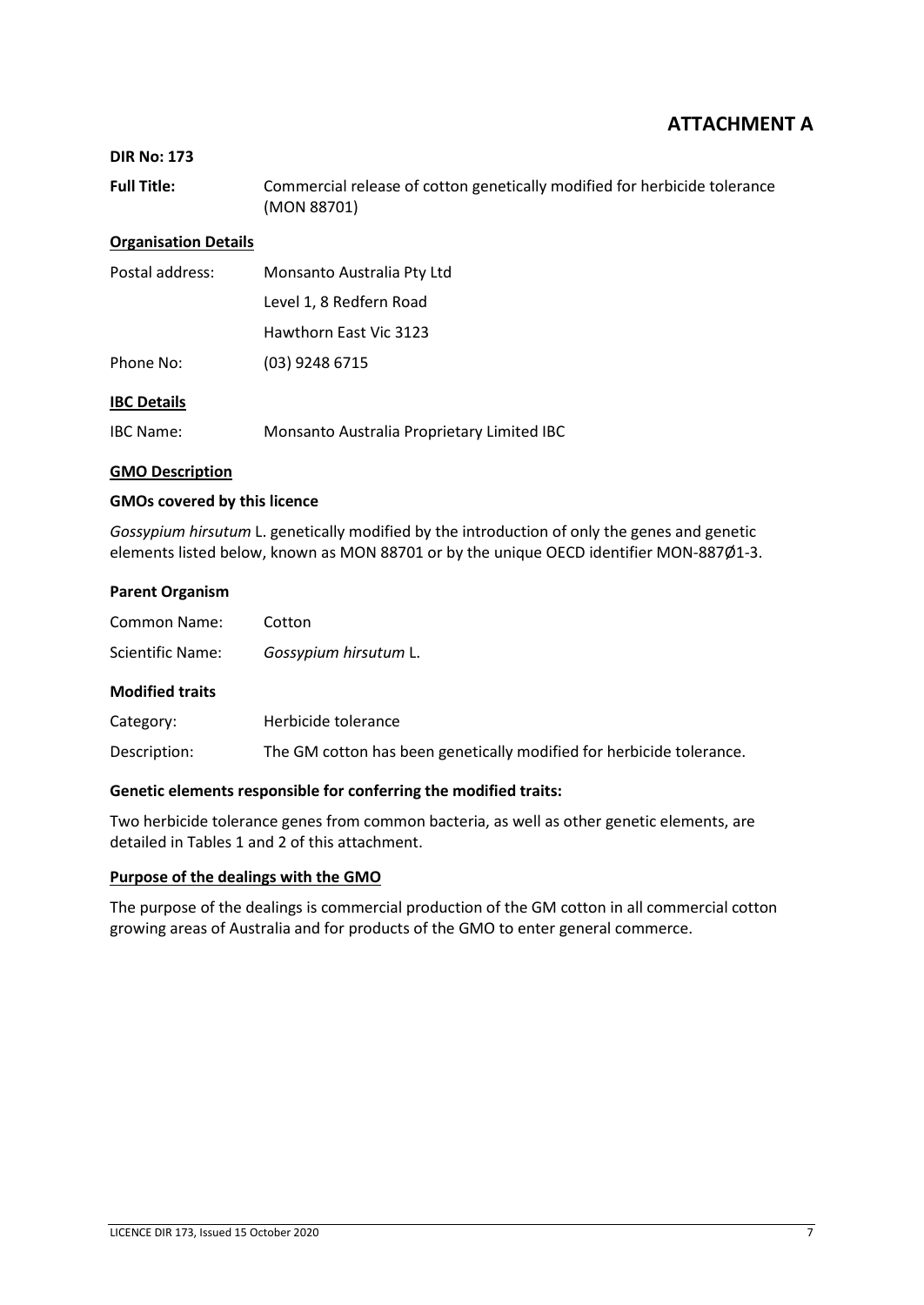## **ATTACHMENT A**

#### **DIR No: 173**

**Full Title:** Commercial release of cotton genetically modified for herbicide tolerance (MON 88701)

#### **Organisation Details**

| Postal address: | Monsanto Australia Pty Ltd |  |
|-----------------|----------------------------|--|
|                 | Level 1, 8 Redfern Road    |  |
|                 | Hawthorn East Vic 3123     |  |
| Phone No:       | $(03)$ 9248 6715           |  |
|                 |                            |  |

### **IBC Details**

IBC Name: Monsanto Australia Proprietary Limited IBC

#### **GMO Description**

#### **GMOs covered by this licence**

*Gossypium hirsutum* L. genetically modified by the introduction of only the genes and genetic elements listed below, known as MON 88701 or by the unique OECD identifier MON-887Ø1-3.

#### **Parent Organism**

| <b>Common Name:</b>    | Cotton                                                               |  |
|------------------------|----------------------------------------------------------------------|--|
| Scientific Name:       | Gossypium hirsutum L.                                                |  |
| <b>Modified traits</b> |                                                                      |  |
| Category:              | Herbicide tolerance                                                  |  |
| Description:           | The GM cotton has been genetically modified for herbicide tolerance. |  |

#### **Genetic elements responsible for conferring the modified traits:**

Two herbicide tolerance genes from common bacteria, as well as other genetic elements, are detailed in Tables 1 and 2 of this attachment.

#### **Purpose of the dealings with the GMO**

The purpose of the dealings is commercial production of the GM cotton in all commercial cotton growing areas of Australia and for products of the GMO to enter general commerce.